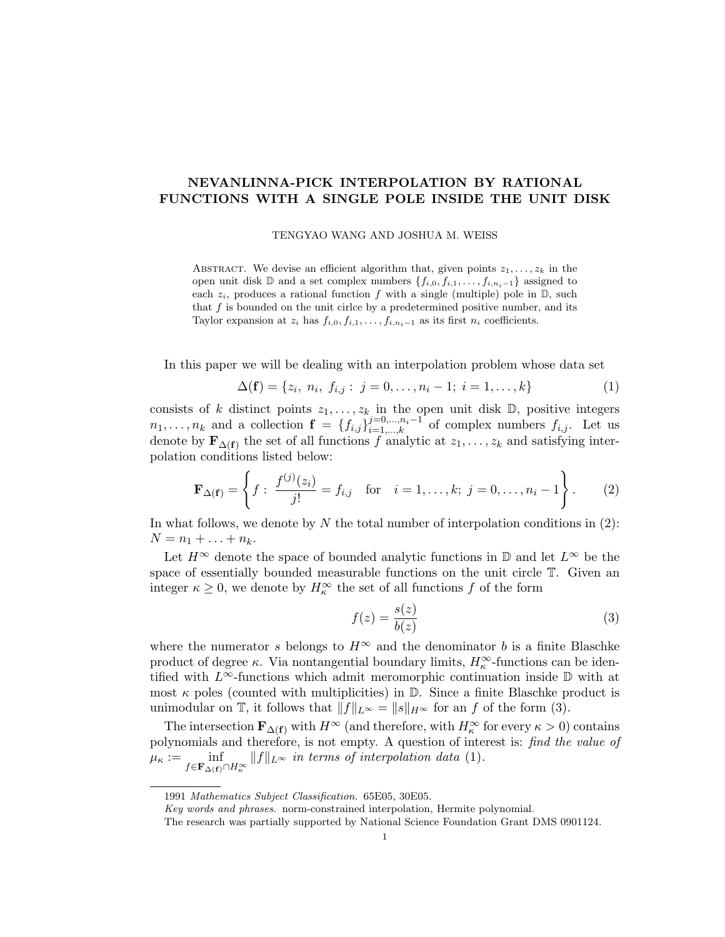## NEVANLINNA-PICK INTERPOLATION BY RATIONAL FUNCTIONS WITH A SINGLE POLE INSIDE THE UNIT DISK

TENGYAO WANG AND JOSHUA M. WEISS

ABSTRACT. We devise an efficient algorithm that, given points  $z_1, \ldots, z_k$  in the open unit disk D and a set complex numbers  $\{f_{i,0}, f_{i,1}, \ldots, f_{i,n_i-1}\}$  assigned to each  $z_i$ , produces a rational function f with a single (multiple) pole in  $\mathbb{D}$ , such that  $f$  is bounded on the unit circle by a predetermined positive number, and its Taylor expansion at  $z_i$  has  $f_{i,0}, f_{i,1}, \ldots, f_{i,n_i-1}$  as its first  $n_i$  coefficients.

In this paper we will be dealing with an interpolation problem whose data set

$$
\Delta(\mathbf{f}) = \{z_i, n_i, f_{i,j} : j = 0, \dots, n_i - 1; i = 1, \dots, k\}
$$
 (1)

consists of k distinct points  $z_1, \ldots, z_k$  in the open unit disk  $\mathbb{D}$ , positive integers  $n_1, \ldots, n_k$  and a collection  $\mathbf{f} = \{f_{i,j}\}_{i=1,\ldots,k}^{j=0,\ldots,n_i-1}$  of complex numbers  $f_{i,j}$ . Let us denote by  $\mathbf{F}_{\Delta(\mathbf{f})}$  the set of all functions f analytic at  $z_1, \ldots, z_k$  and satisfying interpolation conditions listed below:

$$
\mathbf{F}_{\Delta(\mathbf{f})} = \left\{ f: \ \frac{f^{(j)}(z_i)}{j!} = f_{i,j} \quad \text{for} \quad i = 1, \dots, k; \ j = 0, \dots, n_i - 1 \right\}.
$$
 (2)

In what follows, we denote by N the total number of interpolation conditions in  $(2)$ :  $N = n_1 + ... + n_k$ .

Let  $H^{\infty}$  denote the space of bounded analytic functions in D and let  $L^{\infty}$  be the space of essentially bounded measurable functions on the unit circle T. Given an integer  $\kappa \geq 0$ , we denote by  $H_{\kappa}^{\infty}$  the set of all functions f of the form

$$
f(z) = \frac{s(z)}{b(z)}\tag{3}
$$

where the numerator s belongs to  $H^{\infty}$  and the denominator b is a finite Blaschke product of degree  $\kappa$ . Via nontangential boundary limits,  $H_{\kappa}^{\infty}$ -functions can be identified with  $L^{\infty}$ -functions which admit meromorphic continuation inside  $\mathbb D$  with at most  $\kappa$  poles (counted with multiplicities) in  $\mathbb{D}$ . Since a finite Blaschke product is unimodular on T, it follows that  $||f||_{L^{\infty}} = ||s||_{H^{\infty}}$  for an f of the form (3).

The intersection  $\mathbf{F}_{\Delta(\mathbf{f})}$  with  $H^{\infty}$  (and therefore, with  $H^{\infty}_{\kappa}$  for every  $\kappa > 0$ ) contains polynomials and therefore, is not empty. A question of interest is: find the value of  $\mu_{\kappa} := \inf_{f \in \mathbf{F}_{\Delta(f)} \cap H_{\kappa}^{\infty}} ||f||_{L^{\infty}}$  in terms of interpolation data (1).

<sup>1991</sup> Mathematics Subject Classification. 65E05, 30E05.

Key words and phrases. norm-constrained interpolation, Hermite polynomial.

The research was partially supported by National Science Foundation Grant DMS 0901124.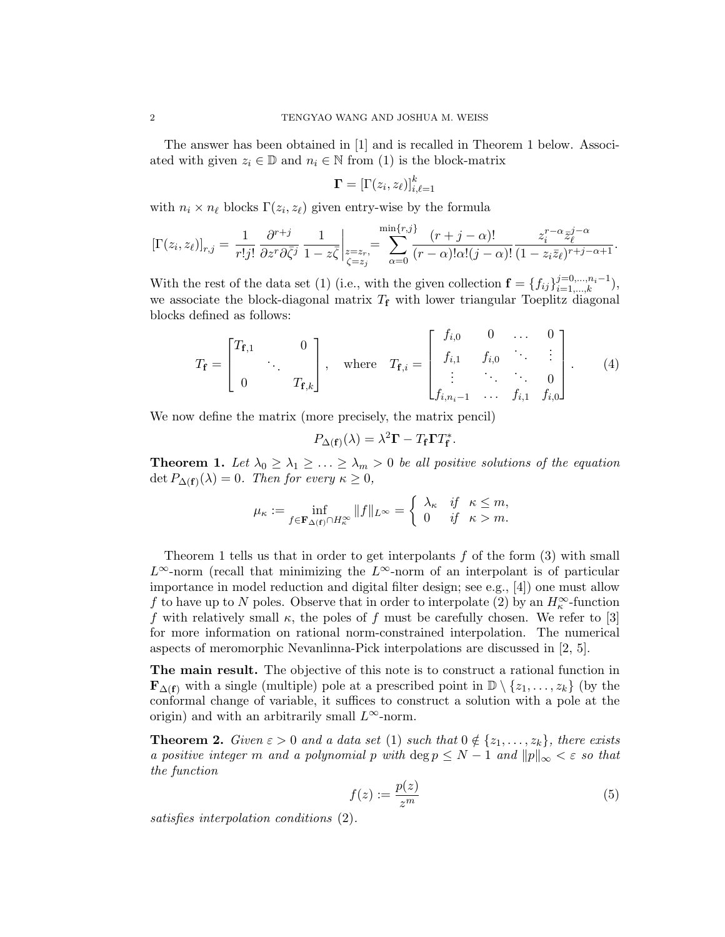The answer has been obtained in [1] and is recalled in Theorem 1 below. Associated with given  $z_i \in \mathbb{D}$  and  $n_i \in \mathbb{N}$  from (1) is the block-matrix

$$
\mathbf{\Gamma}=[\Gamma(z_i,z_\ell)]_{i,\ell=1}^k
$$

with  $n_i \times n_\ell$  blocks  $\Gamma(z_i, z_\ell)$  given entry-wise by the formula

$$
\left[\Gamma(z_i, z_{\ell})\right]_{r,j} = \frac{1}{r!j!} \frac{\partial^{r+j}}{\partial z^r \partial \bar{\zeta}^j} \frac{1}{1-z\bar{\zeta}} \bigg|_{\substack{z=z_r,\\ \zeta=z_j}} = \sum_{\alpha=0}^{\min\{r,j\}} \frac{(r+j-\alpha)!}{(r-\alpha)!\alpha!(j-\alpha)!} \frac{z_i^{r-\alpha} \bar{z}_{\ell}^{j-\alpha}}{(1-z_i \bar{z}_{\ell})^{r+j-\alpha+1}}.
$$

With the rest of the data set (1) (i.e., with the given collection  $\mathbf{f} = \{f_{ij}\}_{i=1,\dots,k}^{j=0,\dots,n_i-1}$ ), we associate the block-diagonal matrix  $T_f$  with lower triangular Toeplitz diagonal blocks defined as follows:

$$
T_{\mathbf{f}} = \begin{bmatrix} T_{\mathbf{f},1} & 0 \\ 0 & T_{\mathbf{f},k} \end{bmatrix}, \text{ where } T_{\mathbf{f},i} = \begin{bmatrix} f_{i,0} & 0 & \dots & 0 \\ f_{i,1} & f_{i,0} & \ddots & \vdots \\ \vdots & \ddots & \ddots & 0 \\ f_{i,n_i-1} & \dots & f_{i,1} & f_{i,0} \end{bmatrix}.
$$
 (4)

We now define the matrix (more precisely, the matrix pencil)

$$
P_{\Delta(\mathbf{f})}(\lambda) = \lambda^2 \mathbf{\Gamma} - T_{\mathbf{f}} \mathbf{\Gamma} T_{\mathbf{f}}^*.
$$

**Theorem 1.** Let  $\lambda_0 \geq \lambda_1 \geq \ldots \geq \lambda_m > 0$  be all positive solutions of the equation  $\det P_{\Delta(\mathbf{f})}(\lambda) = 0$ . Then for every  $\kappa \geq 0$ ,

$$
\mu_{\kappa} := \inf_{f \in \mathbf{F}_{\Delta(f)} \cap H_{\kappa}^{\infty}} \|f\|_{L^{\infty}} = \begin{cases} \lambda_{\kappa} & \text{if } \kappa \le m, \\ 0 & \text{if } \kappa > m. \end{cases}
$$

Theorem 1 tells us that in order to get interpolants f of the form (3) with small  $L^{\infty}$ -norm (recall that minimizing the  $L^{\infty}$ -norm of an interpolant is of particular importance in model reduction and digital filter design; see e.g., [4]) one must allow f to have up to N poles. Observe that in order to interpolate (2) by an  $H_{\kappa}^{\infty}$ -function f with relatively small  $\kappa$ , the poles of f must be carefully chosen. We refer to [3] for more information on rational norm-constrained interpolation. The numerical aspects of meromorphic Nevanlinna-Pick interpolations are discussed in [2, 5].

The main result. The objective of this note is to construct a rational function in  $\mathbf{F}_{\Delta(f)}$  with a single (multiple) pole at a prescribed point in  $\mathbb{D}\setminus\{z_1,\ldots,z_k\}$  (by the conformal change of variable, it suffices to construct a solution with a pole at the origin) and with an arbitrarily small  $L^{\infty}$ -norm.

**Theorem 2.** Given  $\varepsilon > 0$  and a data set (1) such that  $0 \notin \{z_1, \ldots, z_k\}$ , there exists a positive integer m and a polynomial p with  $\deg p \leq N-1$  and  $||p||_{\infty} < \varepsilon$  so that the function

$$
f(z) := \frac{p(z)}{z^m} \tag{5}
$$

satisfies interpolation conditions (2).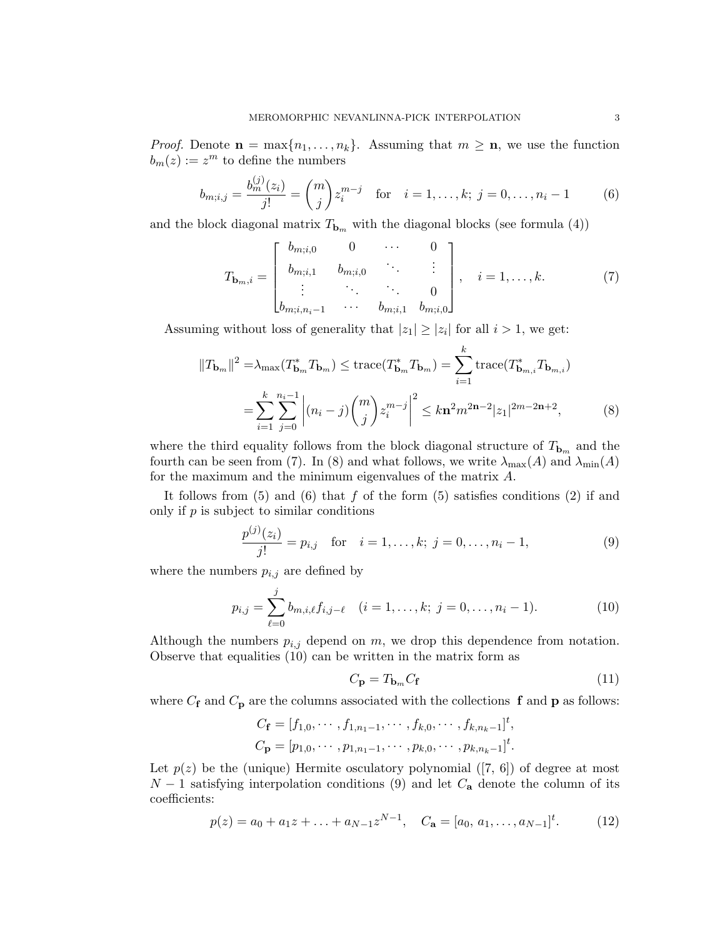*Proof.* Denote  $\mathbf{n} = \max\{n_1, \ldots, n_k\}$ . Assuming that  $m \geq \mathbf{n}$ , we use the function  $b_m(z) := z^m$  to define the numbers

$$
b_{m;i,j} = \frac{b_m^{(j)}(z_i)}{j!} = \binom{m}{j} z_i^{m-j} \quad \text{for} \quad i = 1, \dots, k; \ j = 0, \dots, n_i - 1 \tag{6}
$$

and the block diagonal matrix  $T_{\mathbf{b}_m}$  with the diagonal blocks (see formula (4))

$$
T_{\mathbf{b}_{m},i} = \begin{bmatrix} b_{m;i,0} & 0 & \cdots & 0 \\ b_{m;i,1} & b_{m;i,0} & & \vdots \\ \vdots & \ddots & \ddots & 0 \\ b_{m;i,n_i-1} & \cdots & b_{m;i,1} & b_{m;i,0} \end{bmatrix}, \quad i = 1, \ldots, k. \tag{7}
$$

Assuming without loss of generality that  $|z_1| \ge |z_i|$  for all  $i > 1$ , we get:

$$
||T_{\mathbf{b}_m}||^2 = \lambda_{\max}(T_{\mathbf{b}_m}^* T_{\mathbf{b}_m}) \le \text{trace}(T_{\mathbf{b}_m}^* T_{\mathbf{b}_m}) = \sum_{i=1}^k \text{trace}(T_{\mathbf{b}_{m,i}}^* T_{\mathbf{b}_{m,i}})
$$

$$
= \sum_{i=1}^k \sum_{j=0}^{n_i-1} \left| (n_i - j) {m \choose j} z_i^{m-j} \right|^2 \le k \mathbf{n}^2 m^{2\mathbf{n}-2} |z_1|^{2m-2\mathbf{n}+2}, \tag{8}
$$

where the third equality follows from the block diagonal structure of  $T_{\mathbf{b}_m}$  and the fourth can be seen from (7). In (8) and what follows, we write  $\lambda_{\max}(A)$  and  $\lambda_{\min}(A)$ for the maximum and the minimum eigenvalues of the matrix A.

It follows from  $(5)$  and  $(6)$  that f of the form  $(5)$  satisfies conditions  $(2)$  if and only if  $p$  is subject to similar conditions

$$
\frac{p^{(j)}(z_i)}{j!} = p_{i,j} \quad \text{for} \quad i = 1, \dots, k; \ j = 0, \dots, n_i - 1,\tag{9}
$$

where the numbers  $p_{i,j}$  are defined by

$$
p_{i,j} = \sum_{\ell=0}^{j} b_{m,i,\ell} f_{i,j-\ell} \quad (i = 1, \dots, k; \ j = 0, \dots, n_i - 1).
$$
 (10)

Although the numbers  $p_{i,j}$  depend on m, we drop this dependence from notation. Observe that equalities (10) can be written in the matrix form as

$$
C_{\mathbf{p}} = T_{\mathbf{b}_m} C_{\mathbf{f}} \tag{11}
$$

where  $C_f$  and  $C_p$  are the columns associated with the collections f and p as follows:

$$
C_{\mathbf{f}} = [f_{1,0}, \cdots, f_{1,n_1-1}, \cdots, f_{k,0}, \cdots, f_{k,n_k-1}]^t,
$$
  

$$
C_{\mathbf{p}} = [p_{1,0}, \cdots, p_{1,n_1-1}, \cdots, p_{k,0}, \cdots, p_{k,n_k-1}]^t.
$$

Let  $p(z)$  be the (unique) Hermite osculatory polynomial ([7, 6]) of degree at most  $N-1$  satisfying interpolation conditions (9) and let  $C_{\mathbf{a}}$  denote the column of its coefficients:

$$
p(z) = a_0 + a_1 z + \ldots + a_{N-1} z^{N-1}, \quad C_{\mathbf{a}} = [a_0, a_1, \ldots, a_{N-1}]^t.
$$
 (12)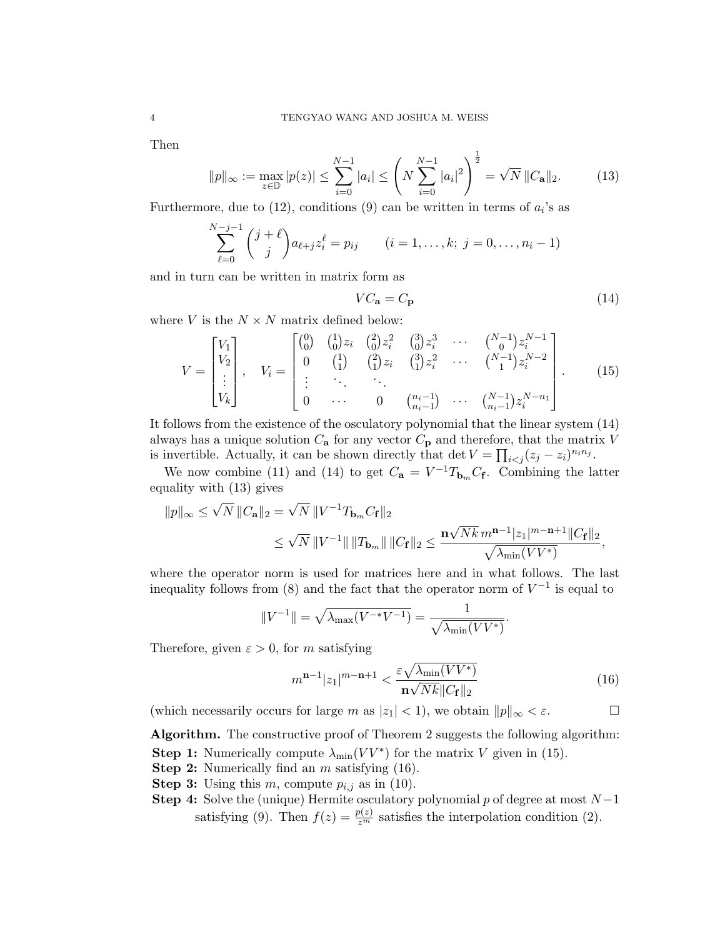Then

$$
||p||_{\infty} := \max_{z \in \mathbb{D}} |p(z)| \le \sum_{i=0}^{N-1} |a_i| \le \left( N \sum_{i=0}^{N-1} |a_i|^2 \right)^{\frac{1}{2}} = \sqrt{N} ||C_{\mathbf{a}}||_2.
$$
 (13)

Furthermore, due to  $(12)$ , conditions  $(9)$  can be written in terms of  $a_i$ 's as

$$
\sum_{\ell=0}^{N-j-1} {j+\ell \choose j} a_{\ell+j} z_i^{\ell} = p_{ij} \qquad (i = 1, ..., k; j = 0, ..., n_i - 1)
$$

and in turn can be written in matrix form as

$$
VC_{\mathbf{a}} = C_{\mathbf{p}} \tag{14}
$$

where V is the  $N \times N$  matrix defined below:

V = V1 V2 . . . Vk , V<sup>i</sup> = 0 0 <sup>1</sup> 0 zi 2 0 z 2 i 3 0 z 3 i · · · N−<sup>1</sup> 0 z N−1 i 0 1 1 <sup>2</sup> 1 zi 3 1 z 2 i · · · N−<sup>1</sup> 1 z N−2 i . . . . . . . . . 0 · · · 0 ni−1 ni−1 · · · N−<sup>1</sup> ni−1 z N−n<sup>1</sup> i . (15)

It follows from the existence of the osculatory polynomial that the linear system (14) always has a unique solution  $C_{\mathbf{a}}$  for any vector  $C_{\mathbf{p}}$  and therefore, that the matrix V is invertible. Actually, it can be shown directly that  $\det V = \prod_{i < j} (z_j - z_i)^{n_i n_j}$ .

We now combine (11) and (14) to get  $C_{\mathbf{a}} = V^{-1}T_{\mathbf{b}_m}C_{\mathbf{f}}$ . Combining the latter equality with (13) gives

$$
||p||_{\infty} \le \sqrt{N} ||C_{\mathbf{a}}||_2 = \sqrt{N} ||V^{-1}T_{\mathbf{b}_m}C_{\mathbf{f}}||_2
$$
  

$$
\le \sqrt{N} ||V^{-1}|| ||T_{\mathbf{b}_m}|| ||C_{\mathbf{f}}||_2 \le \frac{\mathbf{n}\sqrt{Nk} m^{\mathbf{n}-1} |z_1|^{m-\mathbf{n}+1} ||C_{\mathbf{f}}||_2}{\sqrt{\lambda_{\min}(VV^*)}},
$$

where the operator norm is used for matrices here and in what follows. The last inequality follows from (8) and the fact that the operator norm of  $V^{-1}$  is equal to

$$
||V^{-1}|| = \sqrt{\lambda_{\max}(V^{-*}V^{-1})} = \frac{1}{\sqrt{\lambda_{\min}(VV^*)}}.
$$

Therefore, given  $\varepsilon > 0$ , for m satisfying

$$
m^{\mathbf{n}-1}|z_1|^{m-\mathbf{n}+1} < \frac{\varepsilon \sqrt{\lambda_{\min}(VV^*)}}{\mathbf{n}\sqrt{Nk}||C_{\mathbf{f}}||_2} \tag{16}
$$

(which necessarily occurs for large m as  $|z_1| < 1$ ), we obtain  $||p||_{\infty} < \varepsilon$ .

Algorithm. The constructive proof of Theorem 2 suggests the following algorithm: **Step 1:** Numerically compute  $\lambda_{\min}(VV^*)$  for the matrix V given in (15).

- **Step 2:** Numerically find an  $m$  satisfying  $(16)$ .
- **Step 3:** Using this m, compute  $p_{i,j}$  as in (10).
- Step 4: Solve the (unique) Hermite osculatory polynomial p of degree at most  $N-1$ satisfying (9). Then  $f(z) = \frac{p(z)}{z^m}$  satisfies the interpolation condition (2).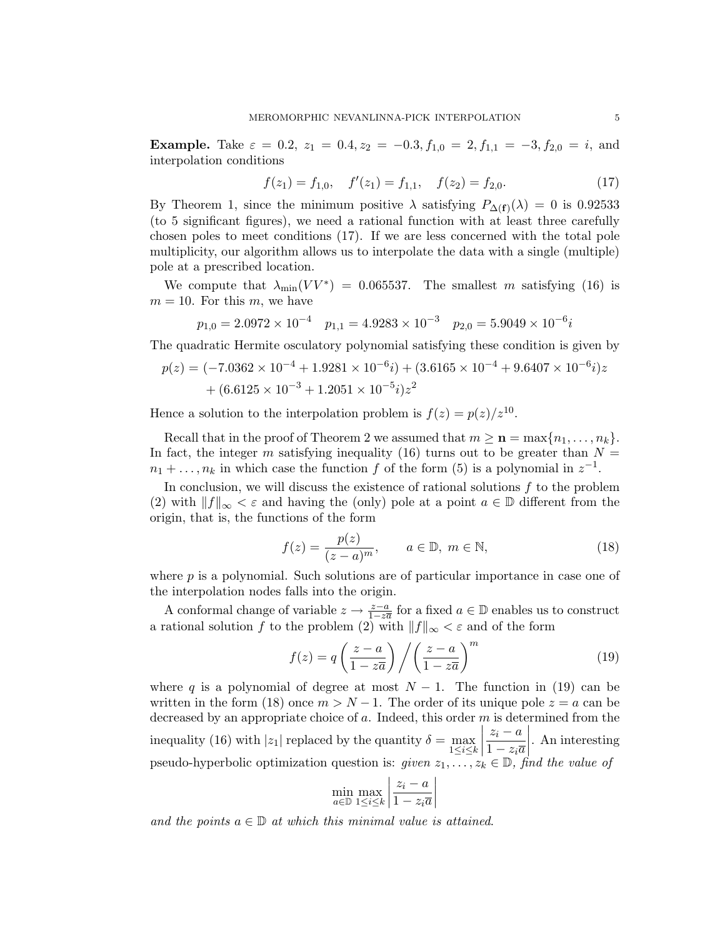Example. Take  $\varepsilon = 0.2$ ,  $z_1 = 0.4$ ,  $z_2 = -0.3$ ,  $f_{1,0} = 2$ ,  $f_{1,1} = -3$ ,  $f_{2,0} = i$ , and interpolation conditions

$$
f(z_1) = f_{1,0}, \quad f'(z_1) = f_{1,1}, \quad f(z_2) = f_{2,0}.
$$
 (17)

By Theorem 1, since the minimum positive  $\lambda$  satisfying  $P_{\Delta(f)}(\lambda) = 0$  is 0.92533 (to 5 significant figures), we need a rational function with at least three carefully chosen poles to meet conditions (17). If we are less concerned with the total pole multiplicity, our algorithm allows us to interpolate the data with a single (multiple) pole at a prescribed location.

We compute that  $\lambda_{\min}(VV^*) = 0.065537$ . The smallest m satisfying (16) is  $m = 10$ . For this m, we have

$$
p_{1,0} = 2.0972 \times 10^{-4} \quad p_{1,1} = 4.9283 \times 10^{-3} \quad p_{2,0} = 5.9049 \times 10^{-6}i
$$

The quadratic Hermite osculatory polynomial satisfying these condition is given by

$$
p(z) = (-7.0362 \times 10^{-4} + 1.9281 \times 10^{-6}i) + (3.6165 \times 10^{-4} + 9.6407 \times 10^{-6}i)z
$$
  
+ 
$$
(6.6125 \times 10^{-3} + 1.2051 \times 10^{-5}i)z^2
$$

Hence a solution to the interpolation problem is  $f(z) = p(z)/z^{10}$ .

Recall that in the proof of Theorem 2 we assumed that  $m \geq n = \max\{n_1, \ldots, n_k\}.$ In fact, the integer m satisfying inequality (16) turns out to be greater than  $N =$  $n_1 + \ldots, n_k$  in which case the function f of the form (5) is a polynomial in  $z^{-1}$ .

In conclusion, we will discuss the existence of rational solutions  $f$  to the problem (2) with  $||f||_{\infty} < \varepsilon$  and having the (only) pole at a point  $a \in \mathbb{D}$  different from the origin, that is, the functions of the form

$$
f(z) = \frac{p(z)}{(z-a)^m}, \qquad a \in \mathbb{D}, \ m \in \mathbb{N}, \tag{18}
$$

where  $p$  is a polynomial. Such solutions are of particular importance in case one of the interpolation nodes falls into the origin.

A conformal change of variable  $z \to \frac{z-a}{1-z\overline{a}}$  for a fixed  $a \in \mathbb{D}$  enables us to construct a rational solution f to the problem (2) with  $||f||_{\infty} < \varepsilon$  and of the form

$$
f(z) = q\left(\frac{z-a}{1-z\overline{a}}\right) / \left(\frac{z-a}{1-z\overline{a}}\right)^m
$$
 (19)

where q is a polynomial of degree at most  $N-1$ . The function in (19) can be written in the form (18) once  $m > N - 1$ . The order of its unique pole  $z = a$  can be decreased by an appropriate choice of  $a$ . Indeed, this order  $m$  is determined from the inequality (16) with  $|z_1|$  replaced by the quantity  $\delta = \max_{1 \le i \le k}$   $z_i - a$  $1-z_i\overline{a}$  $\begin{array}{c} \hline \end{array}$ . An interesting pseudo-hyperbolic optimization question is: given  $z_1, \ldots, z_k \in \mathbb{D}$ , find the value of

$$
\min_{a \in \mathbb{D}} \max_{1 \le i \le k} \left| \frac{z_i - a}{1 - z_i \overline{a}} \right|
$$

and the points  $a \in \mathbb{D}$  at which this minimal value is attained.